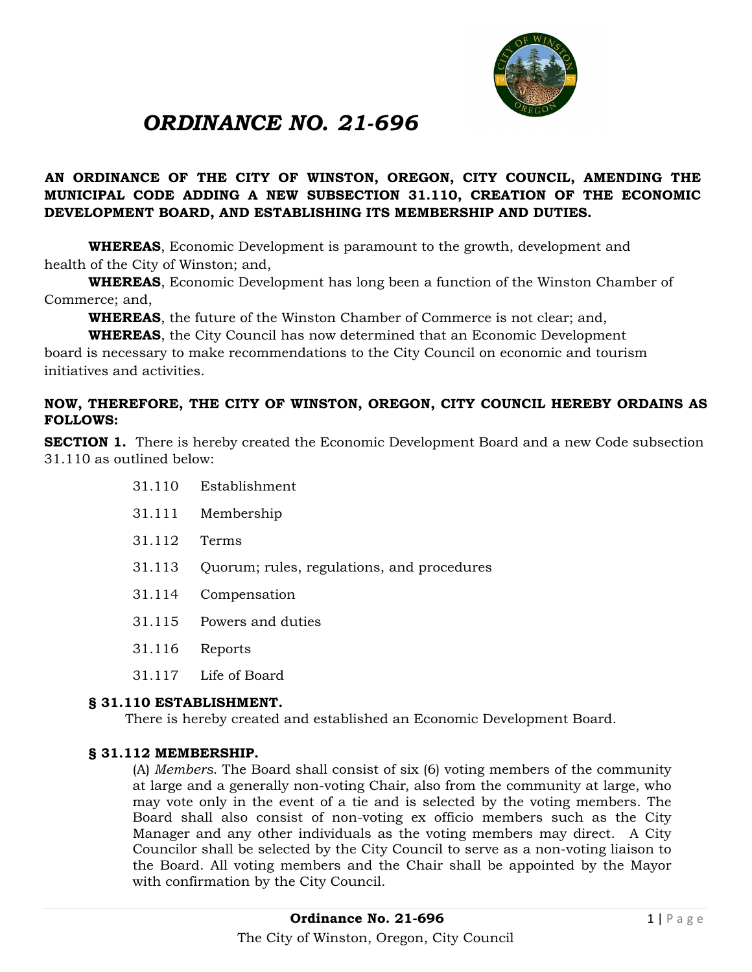

# *ORDINANCE NO. 21-696*

## **AN ORDINANCE OF THE CITY OF WINSTON, OREGON, CITY COUNCIL, AMENDING THE MUNICIPAL CODE ADDING A NEW SUBSECTION 31.110, CREATION OF THE ECONOMIC DEVELOPMENT BOARD, AND ESTABLISHING ITS MEMBERSHIP AND DUTIES.**

**WHEREAS**, Economic Development is paramount to the growth, development and health of the City of Winston; and,

**WHEREAS**, Economic Development has long been a function of the Winston Chamber of Commerce; and,

**WHEREAS**, the future of the Winston Chamber of Commerce is not clear; and,

**WHEREAS**, the City Council has now determined that an Economic Development

board is necessary to make recommendations to the City Council on economic and tourism initiatives and activities.

## **NOW, THEREFORE, THE CITY OF WINSTON, OREGON, CITY COUNCIL HEREBY ORDAINS AS FOLLOWS:**

**SECTION 1.** There is hereby created the Economic Development Board and a new Code subsection 31.110 as outlined below:

- 31.110 Establishment
- 31.111 Membership
- 31.112 Terms
- 31.113 Quorum; rules, regulations, and procedures
- 31.114 Compensation
- 31.115 Powers and duties
- 31.116 Reports
- 31.117 Life of Board

#### **§ 31.110 ESTABLISHMENT.**

There is hereby created and established an Economic Development Board.

## **§ 31.112 MEMBERSHIP.**

(A) *Members*. The Board shall consist of six (6) voting members of the community at large and a generally non-voting Chair, also from the community at large, who may vote only in the event of a tie and is selected by the voting members. The Board shall also consist of non-voting ex officio members such as the City Manager and any other individuals as the voting members may direct. A City Councilor shall be selected by the City Council to serve as a non-voting liaison to the Board. All voting members and the Chair shall be appointed by the Mayor with confirmation by the City Council.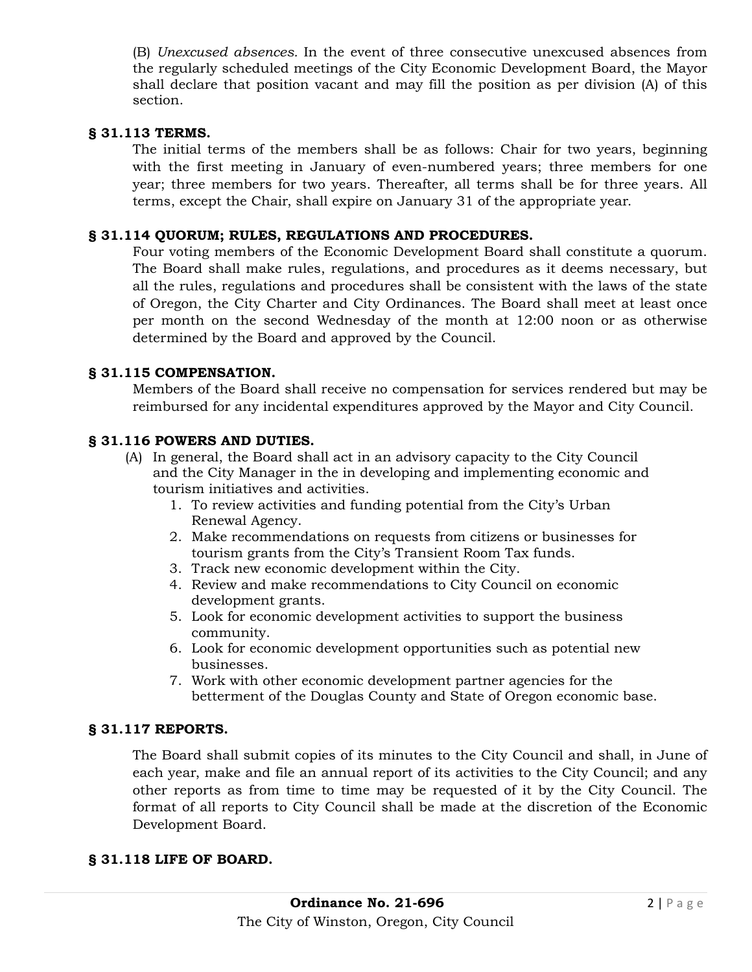(B) *Unexcused absences.* In the event of three consecutive unexcused absences from the regularly scheduled meetings of the City Economic Development Board, the Mayor shall declare that position vacant and may fill the position as per division (A) of this section.

## **§ 31.113 TERMS.**

The initial terms of the members shall be as follows: Chair for two years, beginning with the first meeting in January of even-numbered years; three members for one year; three members for two years. Thereafter, all terms shall be for three years. All terms, except the Chair, shall expire on January 31 of the appropriate year.

#### **§ 31.114 QUORUM; RULES, REGULATIONS AND PROCEDURES.**

Four voting members of the Economic Development Board shall constitute a quorum. The Board shall make rules, regulations, and procedures as it deems necessary, but all the rules, regulations and procedures shall be consistent with the laws of the state of Oregon, the City Charter and City Ordinances. The Board shall meet at least once per month on the second Wednesday of the month at 12:00 noon or as otherwise determined by the Board and approved by the Council.

#### **§ 31.115 COMPENSATION.**

Members of the Board shall receive no compensation for services rendered but may be reimbursed for any incidental expenditures approved by the Mayor and City Council.

#### **§ 31.116 POWERS AND DUTIES.**

- (A) In general, the Board shall act in an advisory capacity to the City Council and the City Manager in the in developing and implementing economic and tourism initiatives and activities.
	- 1. To review activities and funding potential from the City's Urban Renewal Agency.
	- 2. Make recommendations on requests from citizens or businesses for tourism grants from the City's Transient Room Tax funds.
	- 3. Track new economic development within the City.
	- 4. Review and make recommendations to City Council on economic development grants.
	- 5. Look for economic development activities to support the business community.
	- 6. Look for economic development opportunities such as potential new businesses.
	- 7. Work with other economic development partner agencies for the betterment of the Douglas County and State of Oregon economic base.

#### **§ 31.117 REPORTS.**

The Board shall submit copies of its minutes to the City Council and shall, in June of each year, make and file an annual report of its activities to the City Council; and any other reports as from time to time may be requested of it by the City Council. The format of all reports to City Council shall be made at the discretion of the Economic Development Board.

#### **§ 31.118 LIFE OF BOARD.**